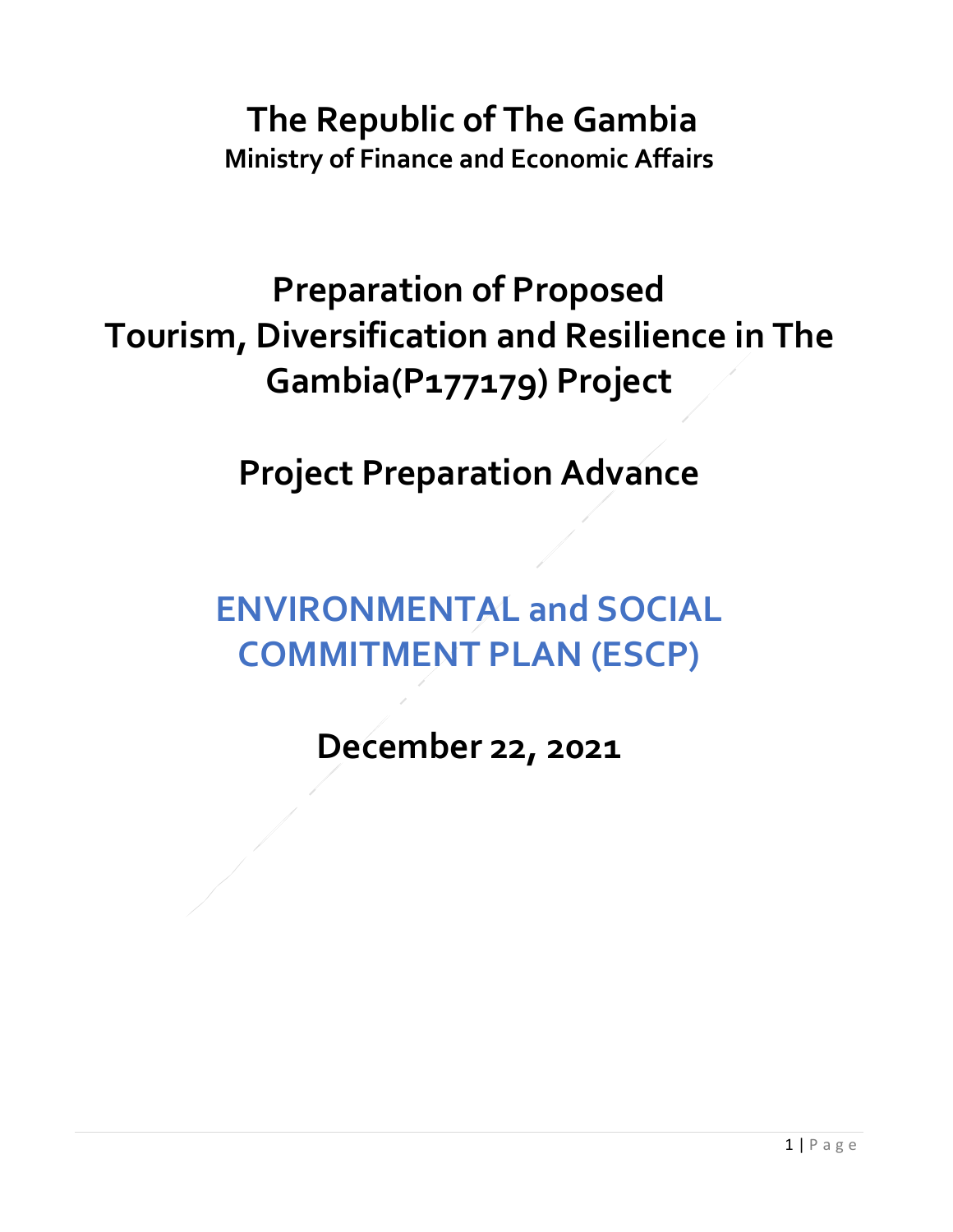## **The Republic of The Gambia Ministry of Finance and Economic Affairs**

## **Preparation of Proposed Tourism, Diversification and Resilience in The Gambia(P177179) Project**

**Project Preparation Advance**

## **ENVIRONMENTAL and SOCIAL COMMITMENT PLAN (ESCP)**

**December 22, 2021**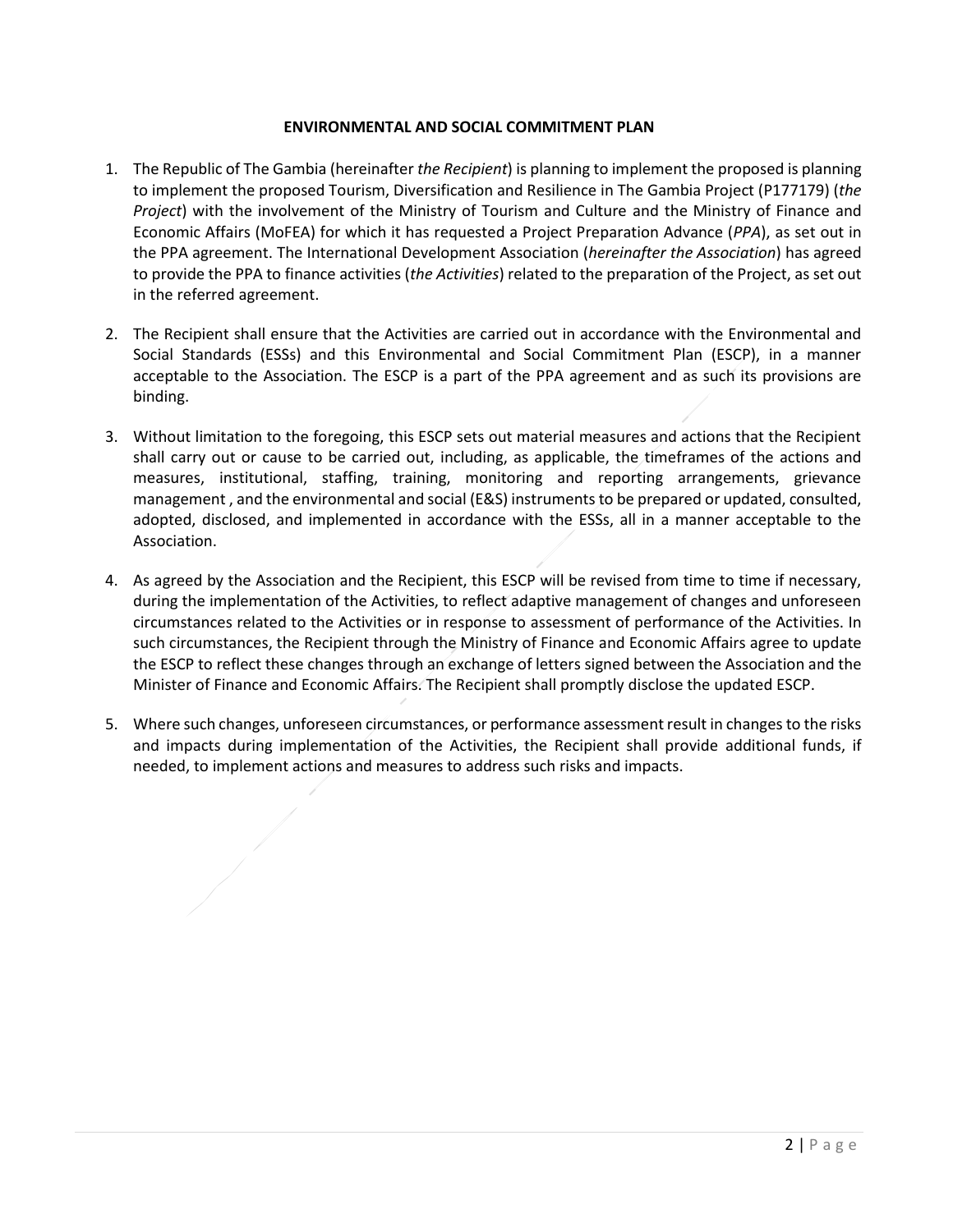## **ENVIRONMENTAL AND SOCIAL COMMITMENT PLAN**

- 1. The Republic of The Gambia (hereinafter *the Recipient*) is planning to implement the proposed is planning to implement the proposed Tourism, Diversification and Resilience in The Gambia Project (P177179) (*the Project*) with the involvement of the Ministry of Tourism and Culture and the Ministry of Finance and Economic Affairs (MoFEA) for which it has requested a Project Preparation Advance (*PPA*), as set out in the PPA agreement. The International Development Association (*hereinafter the Association*) has agreed to provide the PPA to finance activities (*the Activities*) related to the preparation of the Project, as set out in the referred agreement.
- 2. The Recipient shall ensure that the Activities are carried out in accordance with the Environmental and Social Standards (ESSs) and this Environmental and Social Commitment Plan (ESCP), in a manner acceptable to the Association. The ESCP is a part of the PPA agreement and as such its provisions are binding.
- 3. Without limitation to the foregoing, this ESCP sets out material measures and actions that the Recipient shall carry out or cause to be carried out, including, as applicable, the timeframes of the actions and measures, institutional, staffing, training, monitoring and reporting arrangements, grievance management , and the environmental and social (E&S) instruments to be prepared or updated, consulted, adopted, disclosed, and implemented in accordance with the ESSs, all in a manner acceptable to the Association.
- 4. As agreed by the Association and the Recipient, this ESCP will be revised from time to time if necessary, during the implementation of the Activities, to reflect adaptive management of changes and unforeseen circumstances related to the Activities or in response to assessment of performance of the Activities. In such circumstances, the Recipient through the Ministry of Finance and Economic Affairs agree to update the ESCP to reflect these changes through an exchange of letters signed between the Association and the Minister of Finance and Economic Affairs. The Recipient shall promptly disclose the updated ESCP.
- 5. Where such changes, unforeseen circumstances, or performance assessment result in changes to the risks and impacts during implementation of the Activities, the Recipient shall provide additional funds, if needed, to implement actions and measures to address such risks and impacts.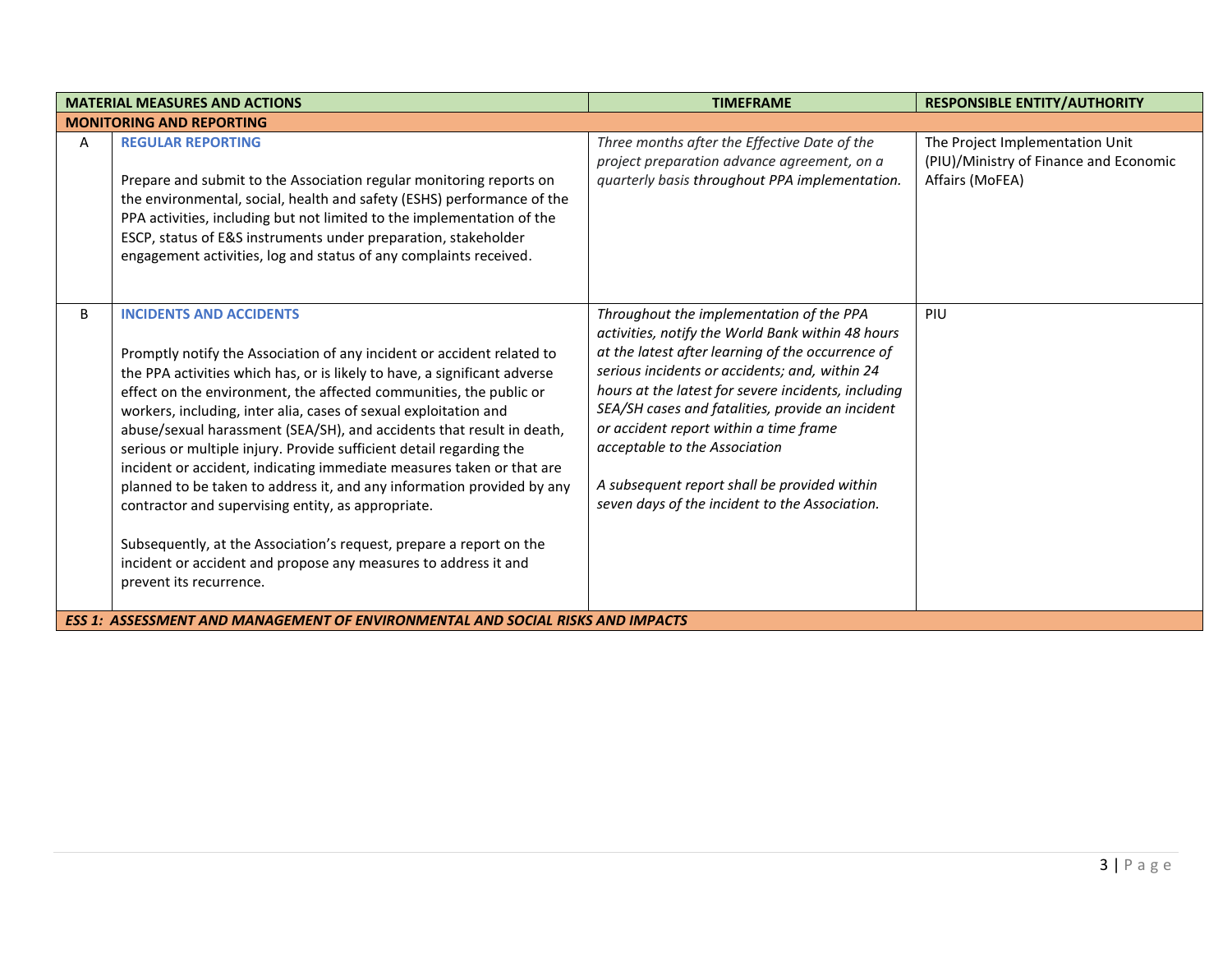| <b>MATERIAL MEASURES AND ACTIONS</b> |                                                                                                                                                                                                                                                                                                                                                                                                                                                                                                                                                                                                                                                                                                                                                                                                                                                               | <b>TIMEFRAME</b>                                                                                                                                                                                                                                                                                                                                                                                                                                                                             | <b>RESPONSIBLE ENTITY/AUTHORITY</b>                                                          |
|--------------------------------------|---------------------------------------------------------------------------------------------------------------------------------------------------------------------------------------------------------------------------------------------------------------------------------------------------------------------------------------------------------------------------------------------------------------------------------------------------------------------------------------------------------------------------------------------------------------------------------------------------------------------------------------------------------------------------------------------------------------------------------------------------------------------------------------------------------------------------------------------------------------|----------------------------------------------------------------------------------------------------------------------------------------------------------------------------------------------------------------------------------------------------------------------------------------------------------------------------------------------------------------------------------------------------------------------------------------------------------------------------------------------|----------------------------------------------------------------------------------------------|
|                                      | <b>MONITORING AND REPORTING</b>                                                                                                                                                                                                                                                                                                                                                                                                                                                                                                                                                                                                                                                                                                                                                                                                                               |                                                                                                                                                                                                                                                                                                                                                                                                                                                                                              |                                                                                              |
| A                                    | <b>REGULAR REPORTING</b><br>Prepare and submit to the Association regular monitoring reports on<br>the environmental, social, health and safety (ESHS) performance of the<br>PPA activities, including but not limited to the implementation of the<br>ESCP, status of E&S instruments under preparation, stakeholder<br>engagement activities, log and status of any complaints received.                                                                                                                                                                                                                                                                                                                                                                                                                                                                    | Three months after the Effective Date of the<br>project preparation advance agreement, on a<br>quarterly basis throughout PPA implementation.                                                                                                                                                                                                                                                                                                                                                | The Project Implementation Unit<br>(PIU)/Ministry of Finance and Economic<br>Affairs (MoFEA) |
| B                                    | <b>INCIDENTS AND ACCIDENTS</b><br>Promptly notify the Association of any incident or accident related to<br>the PPA activities which has, or is likely to have, a significant adverse<br>effect on the environment, the affected communities, the public or<br>workers, including, inter alia, cases of sexual exploitation and<br>abuse/sexual harassment (SEA/SH), and accidents that result in death,<br>serious or multiple injury. Provide sufficient detail regarding the<br>incident or accident, indicating immediate measures taken or that are<br>planned to be taken to address it, and any information provided by any<br>contractor and supervising entity, as appropriate.<br>Subsequently, at the Association's request, prepare a report on the<br>incident or accident and propose any measures to address it and<br>prevent its recurrence. | Throughout the implementation of the PPA<br>activities, notify the World Bank within 48 hours<br>at the latest after learning of the occurrence of<br>serious incidents or accidents; and, within 24<br>hours at the latest for severe incidents, including<br>SEA/SH cases and fatalities, provide an incident<br>or accident report within a time frame<br>acceptable to the Association<br>A subsequent report shall be provided within<br>seven days of the incident to the Association. | PIU                                                                                          |
|                                      | <b>ESS 1: ASSESSMENT AND MANAGEMENT OF ENVIRONMENTAL AND SOCIAL RISKS AND IMPACTS</b>                                                                                                                                                                                                                                                                                                                                                                                                                                                                                                                                                                                                                                                                                                                                                                         |                                                                                                                                                                                                                                                                                                                                                                                                                                                                                              |                                                                                              |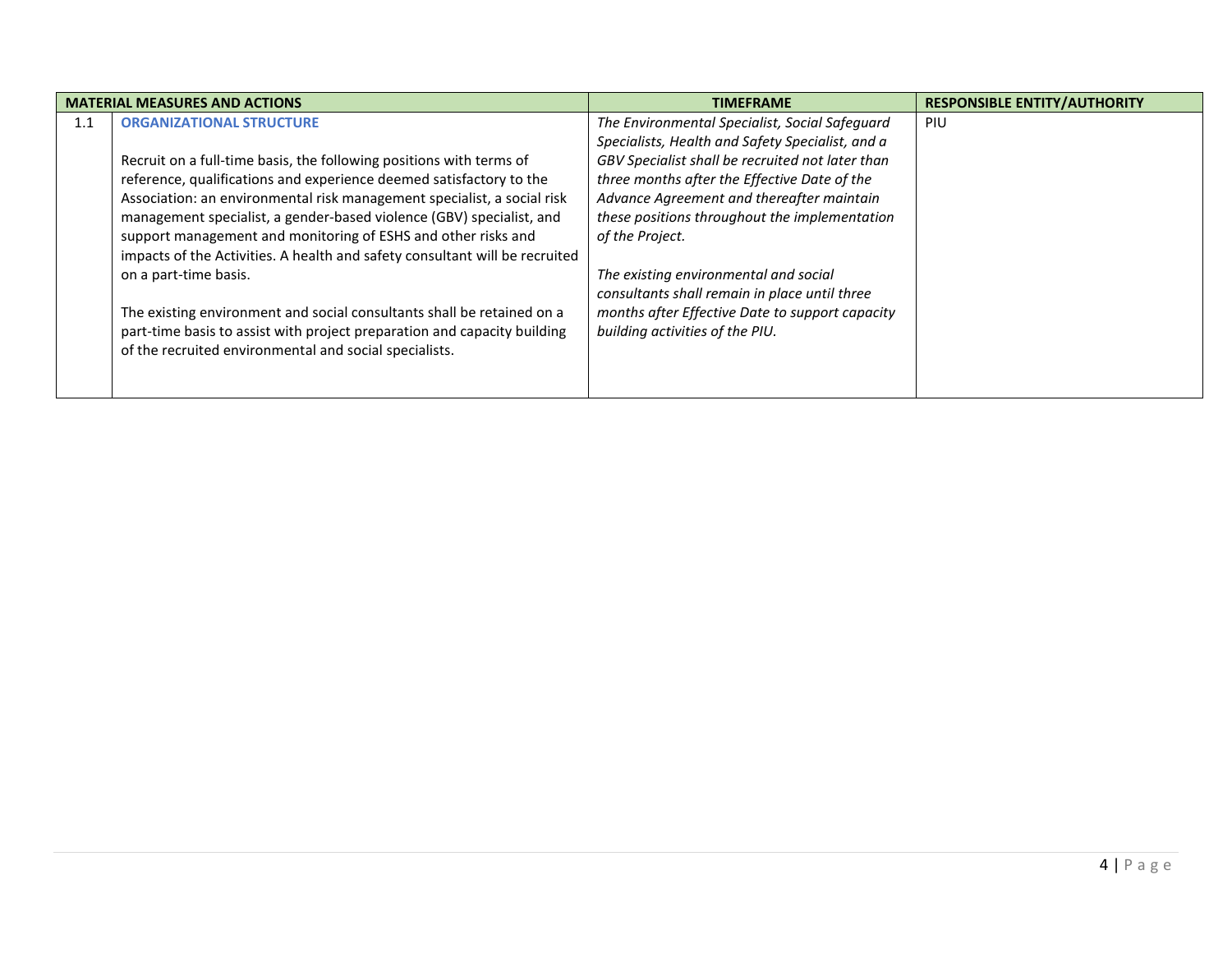| <b>MATERIAL MEASURES AND ACTIONS</b> |                                                                                                                                                                                                                                                                                                                                                                                                                                                                                                           | <b>TIMEFRAME</b>                                                                                                                                                                                                                                                                                                                                                 | <b>RESPONSIBLE ENTITY/AUTHORITY</b> |
|--------------------------------------|-----------------------------------------------------------------------------------------------------------------------------------------------------------------------------------------------------------------------------------------------------------------------------------------------------------------------------------------------------------------------------------------------------------------------------------------------------------------------------------------------------------|------------------------------------------------------------------------------------------------------------------------------------------------------------------------------------------------------------------------------------------------------------------------------------------------------------------------------------------------------------------|-------------------------------------|
| 1.1                                  | <b>ORGANIZATIONAL STRUCTURE</b><br>Recruit on a full-time basis, the following positions with terms of<br>reference, qualifications and experience deemed satisfactory to the<br>Association: an environmental risk management specialist, a social risk<br>management specialist, a gender-based violence (GBV) specialist, and<br>support management and monitoring of ESHS and other risks and<br>impacts of the Activities. A health and safety consultant will be recruited<br>on a part-time basis. | The Environmental Specialist, Social Safeguard<br>Specialists, Health and Safety Specialist, and a<br>GBV Specialist shall be recruited not later than<br>three months after the Effective Date of the<br>Advance Agreement and thereafter maintain<br>these positions throughout the implementation<br>of the Project.<br>The existing environmental and social | PIU                                 |
|                                      | The existing environment and social consultants shall be retained on a<br>part-time basis to assist with project preparation and capacity building<br>of the recruited environmental and social specialists.                                                                                                                                                                                                                                                                                              | consultants shall remain in place until three<br>months after Effective Date to support capacity<br>building activities of the PIU.                                                                                                                                                                                                                              |                                     |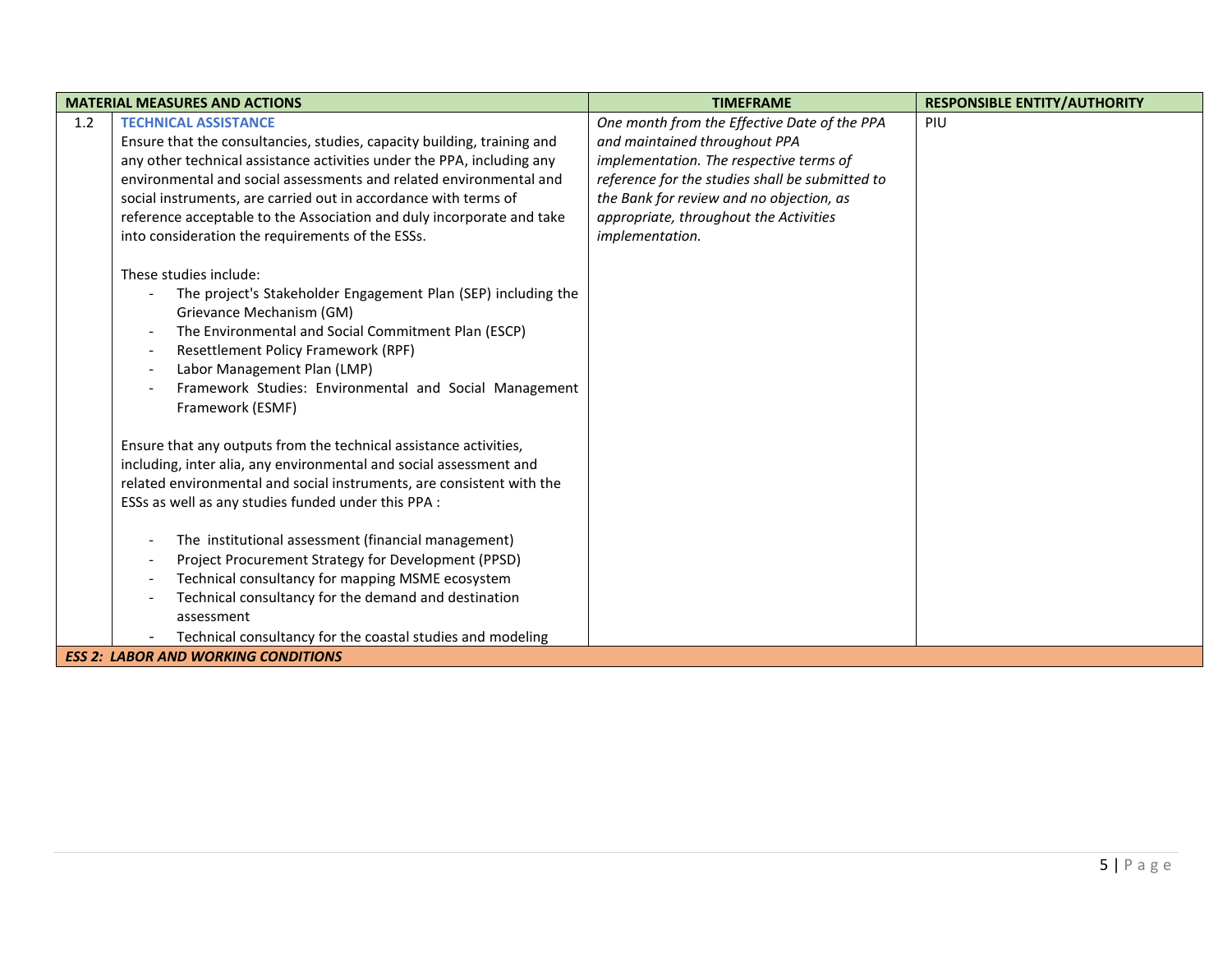| <b>MATERIAL MEASURES AND ACTIONS</b> |                                                                                                                                                                                                                                                                                                                                                                                                                                                                                                                                                                                                           | <b>TIMEFRAME</b>                                                                                                                                                                                                                                                                     | <b>RESPONSIBLE ENTITY/AUTHORITY</b> |  |
|--------------------------------------|-----------------------------------------------------------------------------------------------------------------------------------------------------------------------------------------------------------------------------------------------------------------------------------------------------------------------------------------------------------------------------------------------------------------------------------------------------------------------------------------------------------------------------------------------------------------------------------------------------------|--------------------------------------------------------------------------------------------------------------------------------------------------------------------------------------------------------------------------------------------------------------------------------------|-------------------------------------|--|
| 1.2                                  | <b>TECHNICAL ASSISTANCE</b><br>Ensure that the consultancies, studies, capacity building, training and<br>any other technical assistance activities under the PPA, including any<br>environmental and social assessments and related environmental and<br>social instruments, are carried out in accordance with terms of<br>reference acceptable to the Association and duly incorporate and take<br>into consideration the requirements of the ESSs.                                                                                                                                                    | One month from the Effective Date of the PPA<br>and maintained throughout PPA<br>implementation. The respective terms of<br>reference for the studies shall be submitted to<br>the Bank for review and no objection, as<br>appropriate, throughout the Activities<br>implementation. | PIU                                 |  |
|                                      | These studies include:<br>The project's Stakeholder Engagement Plan (SEP) including the<br>Grievance Mechanism (GM)<br>The Environmental and Social Commitment Plan (ESCP)<br>$\overline{\phantom{a}}$<br>Resettlement Policy Framework (RPF)<br>Labor Management Plan (LMP)<br>$\overline{\phantom{a}}$<br>Framework Studies: Environmental and Social Management<br>Framework (ESMF)                                                                                                                                                                                                                    |                                                                                                                                                                                                                                                                                      |                                     |  |
|                                      | Ensure that any outputs from the technical assistance activities,<br>including, inter alia, any environmental and social assessment and<br>related environmental and social instruments, are consistent with the<br>ESSs as well as any studies funded under this PPA :<br>The institutional assessment (financial management)<br>Project Procurement Strategy for Development (PPSD)<br>Technical consultancy for mapping MSME ecosystem<br>$\overline{\phantom{a}}$<br>Technical consultancy for the demand and destination<br>assessment<br>Technical consultancy for the coastal studies and modeling |                                                                                                                                                                                                                                                                                      |                                     |  |
|                                      | <b>ESS 2: LABOR AND WORKING CONDITIONS</b>                                                                                                                                                                                                                                                                                                                                                                                                                                                                                                                                                                |                                                                                                                                                                                                                                                                                      |                                     |  |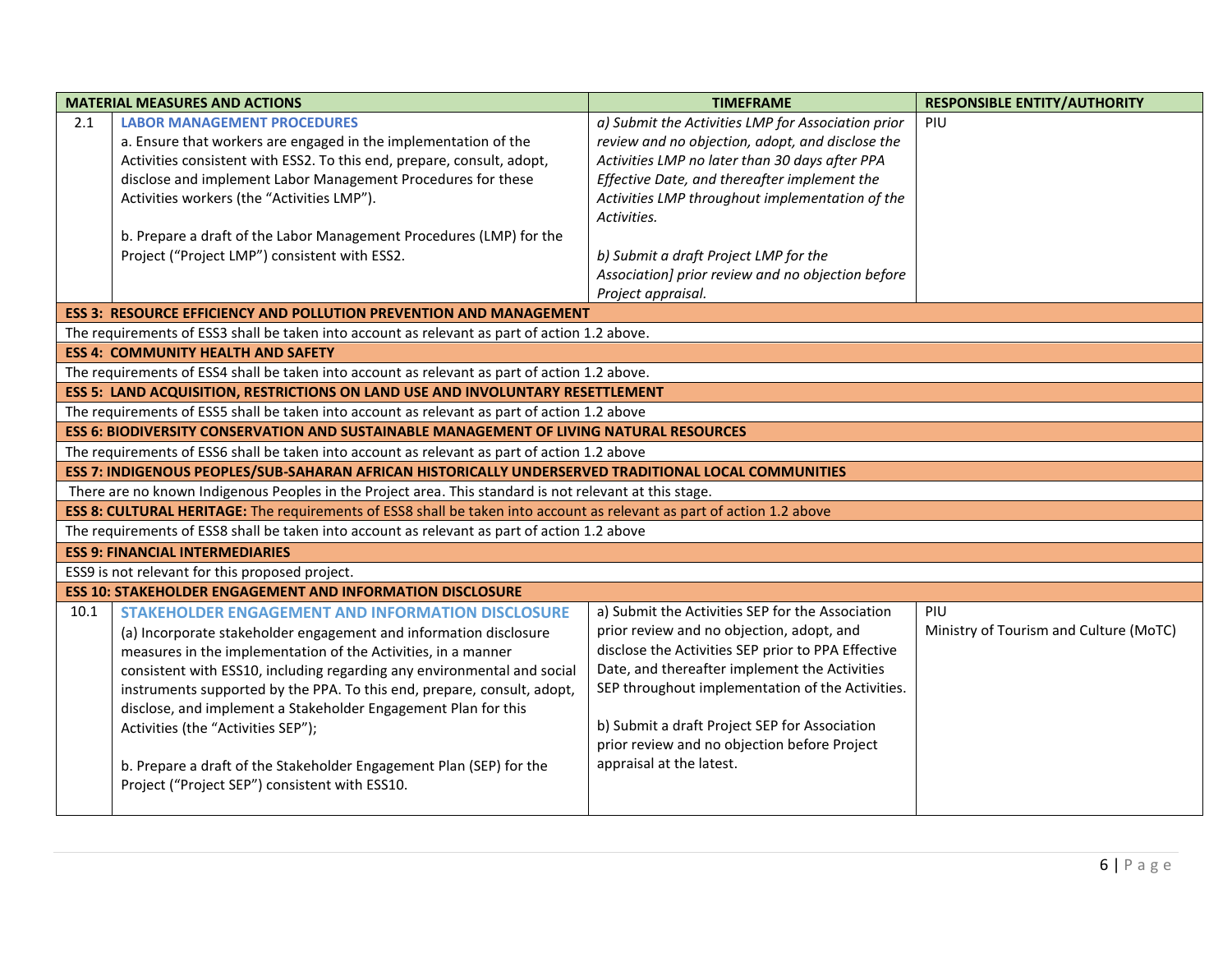|                                                                                               | <b>MATERIAL MEASURES AND ACTIONS</b>                                                                                   | <b>TIMEFRAME</b>                                                                              | <b>RESPONSIBLE ENTITY/AUTHORITY</b>    |
|-----------------------------------------------------------------------------------------------|------------------------------------------------------------------------------------------------------------------------|-----------------------------------------------------------------------------------------------|----------------------------------------|
| 2.1                                                                                           | <b>LABOR MANAGEMENT PROCEDURES</b>                                                                                     | a) Submit the Activities LMP for Association prior                                            | PIU                                    |
|                                                                                               | a. Ensure that workers are engaged in the implementation of the                                                        | review and no objection, adopt, and disclose the                                              |                                        |
|                                                                                               | Activities consistent with ESS2. To this end, prepare, consult, adopt,                                                 | Activities LMP no later than 30 days after PPA                                                |                                        |
|                                                                                               | disclose and implement Labor Management Procedures for these                                                           | Effective Date, and thereafter implement the                                                  |                                        |
|                                                                                               | Activities workers (the "Activities LMP").                                                                             | Activities LMP throughout implementation of the<br>Activities.                                |                                        |
|                                                                                               | b. Prepare a draft of the Labor Management Procedures (LMP) for the                                                    |                                                                                               |                                        |
|                                                                                               | Project ("Project LMP") consistent with ESS2.                                                                          | b) Submit a draft Project LMP for the                                                         |                                        |
|                                                                                               |                                                                                                                        | Association] prior review and no objection before                                             |                                        |
|                                                                                               |                                                                                                                        | Project appraisal.                                                                            |                                        |
|                                                                                               | <b>ESS 3: RESOURCE EFFICIENCY AND POLLUTION PREVENTION AND MANAGEMENT</b>                                              |                                                                                               |                                        |
|                                                                                               | The requirements of ESS3 shall be taken into account as relevant as part of action 1.2 above.                          |                                                                                               |                                        |
| <b>ESS 4: COMMUNITY HEALTH AND SAFETY</b>                                                     |                                                                                                                        |                                                                                               |                                        |
| The requirements of ESS4 shall be taken into account as relevant as part of action 1.2 above. |                                                                                                                        |                                                                                               |                                        |
| <b>ESS 5: LAND ACQUISITION, RESTRICTIONS ON LAND USE AND INVOLUNTARY RESETTLEMENT</b>         |                                                                                                                        |                                                                                               |                                        |
|                                                                                               | The requirements of ESS5 shall be taken into account as relevant as part of action 1.2 above                           |                                                                                               |                                        |
|                                                                                               | ESS 6: BIODIVERSITY CONSERVATION AND SUSTAINABLE MANAGEMENT OF LIVING NATURAL RESOURCES                                |                                                                                               |                                        |
|                                                                                               | The requirements of ESS6 shall be taken into account as relevant as part of action 1.2 above                           |                                                                                               |                                        |
|                                                                                               | ESS 7: INDIGENOUS PEOPLES/SUB-SAHARAN AFRICAN HISTORICALLY UNDERSERVED TRADITIONAL LOCAL COMMUNITIES                   |                                                                                               |                                        |
|                                                                                               | There are no known Indigenous Peoples in the Project area. This standard is not relevant at this stage.                |                                                                                               |                                        |
|                                                                                               | ESS 8: CULTURAL HERITAGE: The requirements of ESS8 shall be taken into account as relevant as part of action 1.2 above |                                                                                               |                                        |
|                                                                                               | The requirements of ESS8 shall be taken into account as relevant as part of action 1.2 above                           |                                                                                               |                                        |
|                                                                                               | <b>ESS 9: FINANCIAL INTERMEDIARIES</b>                                                                                 |                                                                                               |                                        |
|                                                                                               | ESS9 is not relevant for this proposed project.                                                                        |                                                                                               |                                        |
|                                                                                               | <b>ESS 10: STAKEHOLDER ENGAGEMENT AND INFORMATION DISCLOSURE</b>                                                       |                                                                                               |                                        |
| 10.1                                                                                          | <b>STAKEHOLDER ENGAGEMENT AND INFORMATION DISCLOSURE</b>                                                               | a) Submit the Activities SEP for the Association                                              | PIU                                    |
|                                                                                               | (a) Incorporate stakeholder engagement and information disclosure                                                      | prior review and no objection, adopt, and                                                     | Ministry of Tourism and Culture (MoTC) |
|                                                                                               | measures in the implementation of the Activities, in a manner                                                          | disclose the Activities SEP prior to PPA Effective                                            |                                        |
|                                                                                               | consistent with ESS10, including regarding any environmental and social                                                | Date, and thereafter implement the Activities                                                 |                                        |
|                                                                                               | instruments supported by the PPA. To this end, prepare, consult, adopt,                                                | SEP throughout implementation of the Activities.                                              |                                        |
|                                                                                               | disclose, and implement a Stakeholder Engagement Plan for this                                                         |                                                                                               |                                        |
|                                                                                               | Activities (the "Activities SEP");                                                                                     | b) Submit a draft Project SEP for Association<br>prior review and no objection before Project |                                        |
|                                                                                               |                                                                                                                        | appraisal at the latest.                                                                      |                                        |
|                                                                                               | b. Prepare a draft of the Stakeholder Engagement Plan (SEP) for the<br>Project ("Project SEP") consistent with ESS10.  |                                                                                               |                                        |
|                                                                                               |                                                                                                                        |                                                                                               |                                        |
|                                                                                               |                                                                                                                        |                                                                                               |                                        |